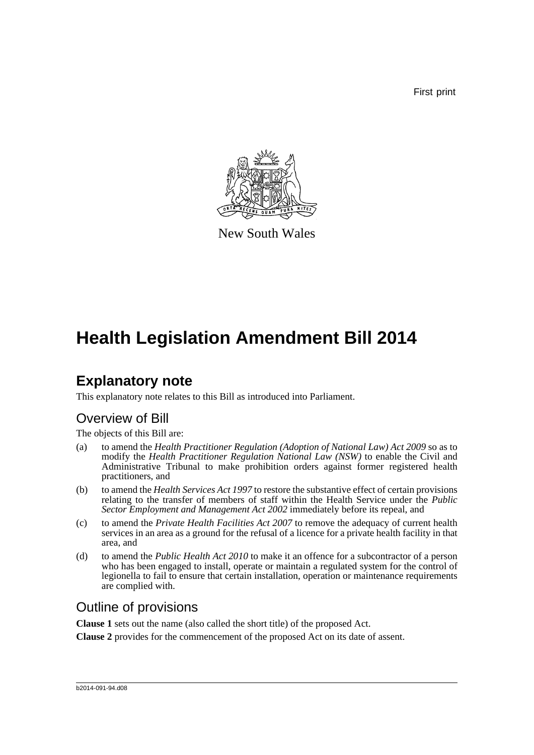First print



New South Wales

# **Health Legislation Amendment Bill 2014**

# **Explanatory note**

This explanatory note relates to this Bill as introduced into Parliament.

## Overview of Bill

The objects of this Bill are:

- (a) to amend the *Health Practitioner Regulation (Adoption of National Law) Act 2009* so as to modify the *Health Practitioner Regulation National Law (NSW)* to enable the Civil and Administrative Tribunal to make prohibition orders against former registered health practitioners, and
- (b) to amend the *Health Services Act 1997* to restore the substantive effect of certain provisions relating to the transfer of members of staff within the Health Service under the *Public Sector Employment and Management Act 2002* immediately before its repeal, and
- (c) to amend the *Private Health Facilities Act 2007* to remove the adequacy of current health services in an area as a ground for the refusal of a licence for a private health facility in that area, and
- (d) to amend the *Public Health Act 2010* to make it an offence for a subcontractor of a person who has been engaged to install, operate or maintain a regulated system for the control of legionella to fail to ensure that certain installation, operation or maintenance requirements are complied with.

## Outline of provisions

**Clause 1** sets out the name (also called the short title) of the proposed Act.

**Clause 2** provides for the commencement of the proposed Act on its date of assent.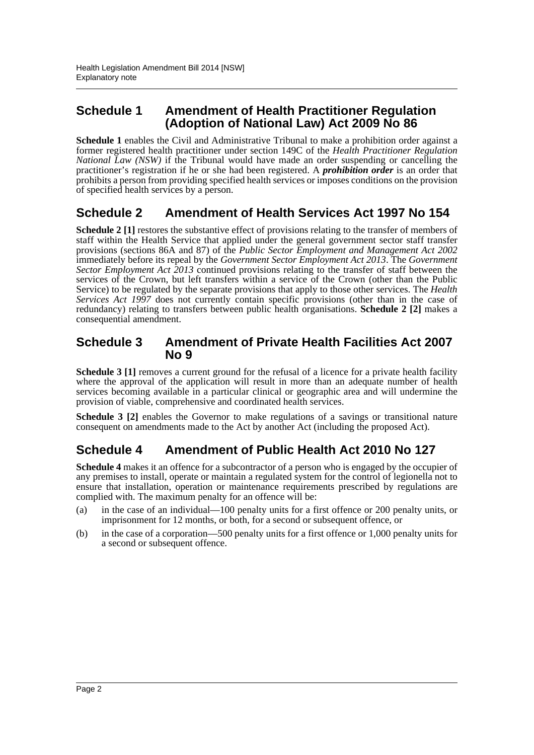### **Schedule 1 Amendment of Health Practitioner Regulation (Adoption of National Law) Act 2009 No 86**

**Schedule 1** enables the Civil and Administrative Tribunal to make a prohibition order against a former registered health practitioner under section 149C of the *Health Practitioner Regulation National Law (NSW)* if the Tribunal would have made an order suspending or cancelling the practitioner's registration if he or she had been registered. A *prohibition order* is an order that prohibits a person from providing specified health services or imposes conditions on the provision of specified health services by a person.

### **Schedule 2 Amendment of Health Services Act 1997 No 154**

**Schedule 2 [1]** restores the substantive effect of provisions relating to the transfer of members of staff within the Health Service that applied under the general government sector staff transfer provisions (sections 86A and 87) of the *Public Sector Employment and Management Act 2002* immediately before its repeal by the *Government Sector Employment Act 2013*. The *Government Sector Employment Act 2013* continued provisions relating to the transfer of staff between the services of the Crown, but left transfers within a service of the Crown (other than the Public Service) to be regulated by the separate provisions that apply to those other services. The *Health Services Act 1997* does not currently contain specific provisions (other than in the case of redundancy) relating to transfers between public health organisations. **Schedule 2 [2]** makes a consequential amendment.

#### **Schedule 3 Amendment of Private Health Facilities Act 2007 No 9**

**Schedule 3 [1]** removes a current ground for the refusal of a licence for a private health facility where the approval of the application will result in more than an adequate number of health services becoming available in a particular clinical or geographic area and will undermine the provision of viable, comprehensive and coordinated health services.

**Schedule 3 [2]** enables the Governor to make regulations of a savings or transitional nature consequent on amendments made to the Act by another Act (including the proposed Act).

### **Schedule 4 Amendment of Public Health Act 2010 No 127**

**Schedule 4** makes it an offence for a subcontractor of a person who is engaged by the occupier of any premises to install, operate or maintain a regulated system for the control of legionella not to ensure that installation, operation or maintenance requirements prescribed by regulations are complied with. The maximum penalty for an offence will be:

- (a) in the case of an individual—100 penalty units for a first offence or 200 penalty units, or imprisonment for 12 months, or both, for a second or subsequent offence, or
- (b) in the case of a corporation—500 penalty units for a first offence or 1,000 penalty units for a second or subsequent offence.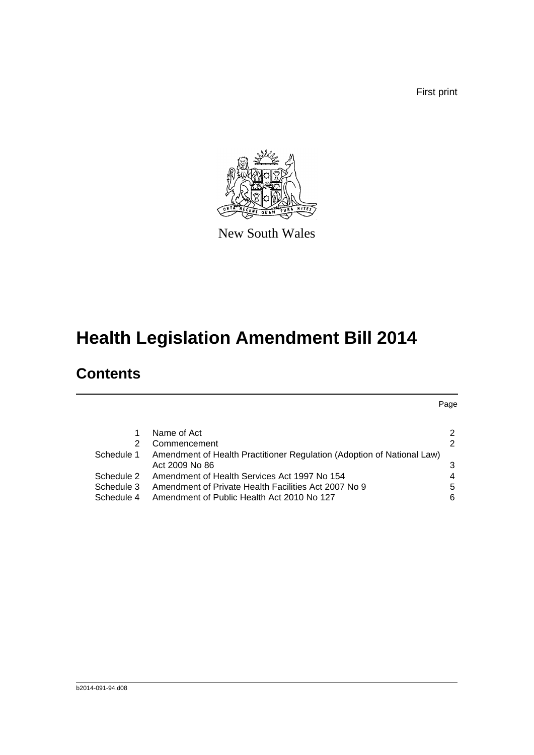First print

Page



New South Wales

# **Health Legislation Amendment Bill 2014**

## **Contents**

[1 Name of Act](#page-4-0) 2 [2 Commencement](#page-4-1) 2 2 [Schedule 1 Amendment of Health Practitioner Regulation \(Adoption of National Law\)](#page-5-0) Act 2009 No 86 3 [Schedule 2 Amendment of Health Services Act 1997 No 154](#page-6-0) 4 4 [Schedule 3 Amendment of Private Health Facilities Act 2007 No 9](#page-7-0) 5

[Schedule 4 Amendment of Public Health Act 2010 No 127](#page-8-0)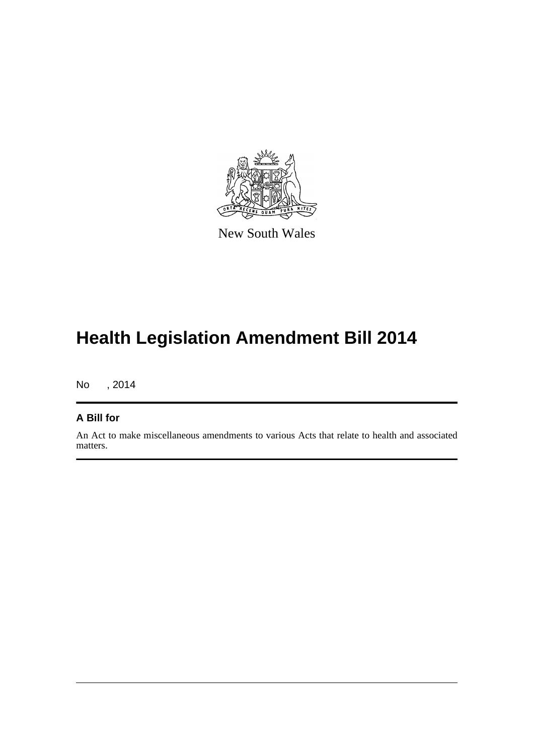

New South Wales

# **Health Legislation Amendment Bill 2014**

No , 2014

#### **A Bill for**

An Act to make miscellaneous amendments to various Acts that relate to health and associated matters.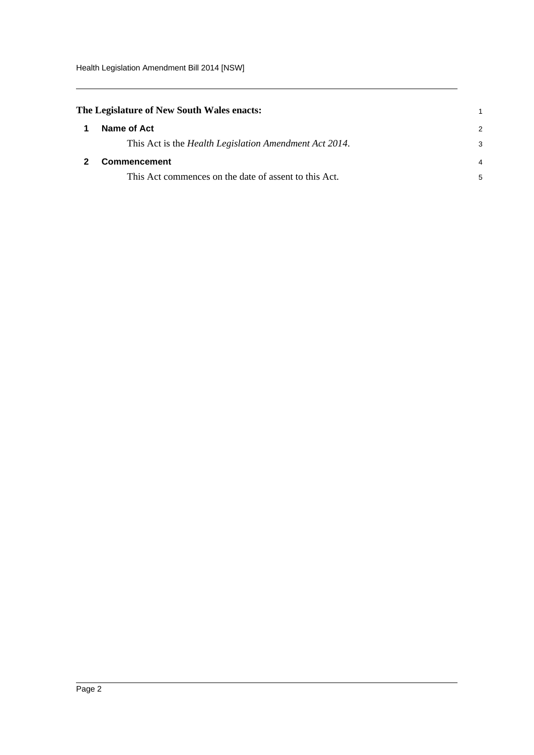<span id="page-4-1"></span><span id="page-4-0"></span>

| The Legislature of New South Wales enacts:                     |               |
|----------------------------------------------------------------|---------------|
| Name of Act                                                    | $\mathcal{P}$ |
| This Act is the <i>Health Legislation Amendment Act 2014</i> . | 3             |
| Commencement                                                   | 4             |
| This Act commences on the date of assent to this Act.          | 5             |
|                                                                |               |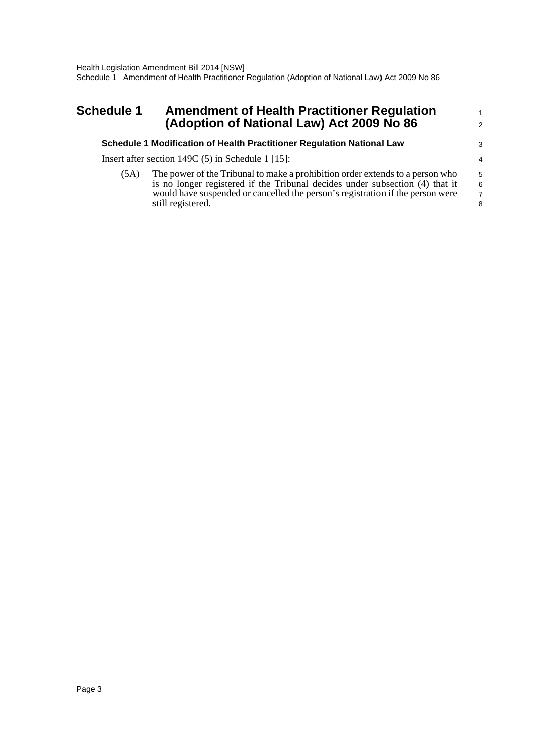#### <span id="page-5-0"></span>**Schedule 1 Amendment of Health Practitioner Regulation (Adoption of National Law) Act 2009 No 86**

#### **Schedule 1 Modification of Health Practitioner Regulation National Law**

Insert after section 149C (5) in Schedule 1 [15]:

(5A) The power of the Tribunal to make a prohibition order extends to a person who is no longer registered if the Tribunal decides under subsection (4) that it would have suspended or cancelled the person's registration if the person were still registered.

1 2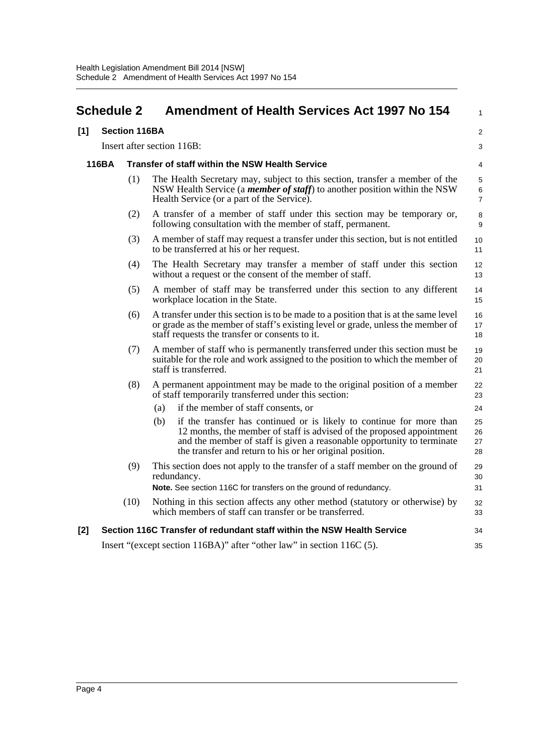<span id="page-6-0"></span>

| <b>Schedule 2</b>          |       |      | <b>Amendment of Health Services Act 1997 No 154</b>                                                                                                                                                                                                                                        |                                |  |  |
|----------------------------|-------|------|--------------------------------------------------------------------------------------------------------------------------------------------------------------------------------------------------------------------------------------------------------------------------------------------|--------------------------------|--|--|
| [1]                        |       |      | <b>Section 116BA</b>                                                                                                                                                                                                                                                                       |                                |  |  |
| Insert after section 116B: |       |      |                                                                                                                                                                                                                                                                                            |                                |  |  |
|                            | 116BA |      | Transfer of staff within the NSW Health Service                                                                                                                                                                                                                                            |                                |  |  |
|                            |       | (1)  | The Health Secretary may, subject to this section, transfer a member of the<br>NSW Health Service (a <i>member of staff</i> ) to another position within the NSW<br>Health Service (or a part of the Service).                                                                             | 5<br>$\,6\,$<br>$\overline{7}$ |  |  |
|                            |       | (2)  | A transfer of a member of staff under this section may be temporary or,<br>following consultation with the member of staff, permanent.                                                                                                                                                     | 8<br>9                         |  |  |
|                            |       | (3)  | A member of staff may request a transfer under this section, but is not entitled<br>to be transferred at his or her request.                                                                                                                                                               | 10<br>11                       |  |  |
|                            |       | (4)  | The Health Secretary may transfer a member of staff under this section<br>without a request or the consent of the member of staff.                                                                                                                                                         | 12<br>13                       |  |  |
|                            |       | (5)  | A member of staff may be transferred under this section to any different<br>workplace location in the State.                                                                                                                                                                               | 14<br>15                       |  |  |
|                            |       | (6)  | A transfer under this section is to be made to a position that is at the same level<br>or grade as the member of staff's existing level or grade, unless the member of<br>staff requests the transfer or consents to it.                                                                   | 16<br>17<br>18                 |  |  |
|                            |       | (7)  | A member of staff who is permanently transferred under this section must be<br>suitable for the role and work assigned to the position to which the member of<br>staff is transferred.                                                                                                     | 19<br>20<br>21                 |  |  |
|                            |       | (8)  | A permanent appointment may be made to the original position of a member<br>of staff temporarily transferred under this section:                                                                                                                                                           | 22<br>23                       |  |  |
|                            |       |      | if the member of staff consents, or<br>(a)                                                                                                                                                                                                                                                 | 24                             |  |  |
|                            |       |      | (b)<br>if the transfer has continued or is likely to continue for more than<br>12 months, the member of staff is advised of the proposed appointment<br>and the member of staff is given a reasonable opportunity to terminate<br>the transfer and return to his or her original position. | 25<br>26<br>27<br>28           |  |  |
|                            |       | (9)  | This section does not apply to the transfer of a staff member on the ground of<br>redundancy.                                                                                                                                                                                              | 29<br>30                       |  |  |
|                            |       |      | Note. See section 116C for transfers on the ground of redundancy.                                                                                                                                                                                                                          | 31                             |  |  |
|                            |       | (10) | Nothing in this section affects any other method (statutory or otherwise) by<br>which members of staff can transfer or be transferred.                                                                                                                                                     | 32<br>33                       |  |  |
| [2]                        |       |      | Section 116C Transfer of redundant staff within the NSW Health Service                                                                                                                                                                                                                     | 34                             |  |  |
|                            |       |      | Insert "(except section 116BA)" after "other law" in section 116C (5).                                                                                                                                                                                                                     | 35                             |  |  |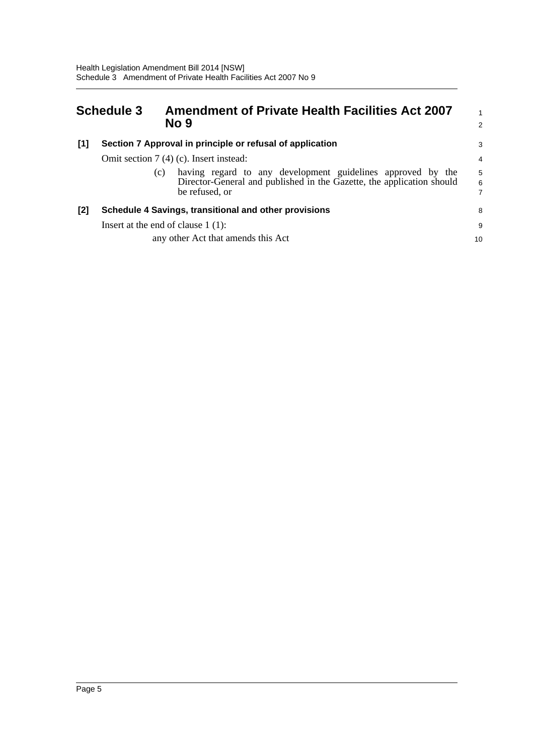<span id="page-7-0"></span>

| <b>Schedule 3</b> |                                                           | <b>Amendment of Private Health Facilities Act 2007</b><br>No 9                                                                                                |             |  |  |
|-------------------|-----------------------------------------------------------|---------------------------------------------------------------------------------------------------------------------------------------------------------------|-------------|--|--|
| $[1]$             | Section 7 Approval in principle or refusal of application |                                                                                                                                                               |             |  |  |
|                   | Omit section $7(4)$ (c). Insert instead:                  |                                                                                                                                                               |             |  |  |
|                   |                                                           | having regard to any development guidelines approved by the<br>(c)<br>Director-General and published in the Gazette, the application should<br>be refused, or | 5<br>6<br>7 |  |  |
| [2]               | Schedule 4 Savings, transitional and other provisions     |                                                                                                                                                               |             |  |  |
|                   | Insert at the end of clause $1(1)$ :                      |                                                                                                                                                               |             |  |  |
|                   |                                                           | any other Act that amends this Act                                                                                                                            | 10          |  |  |